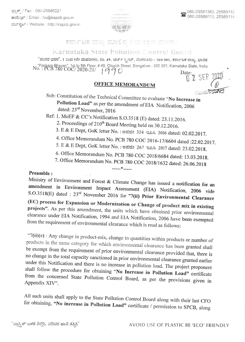

ಕರ್ನಾಟಕ ರಾಜ್ಯ ಮಾಲಿನ್ಯ ನಿಯಂತ್ರಣ ಮಾಪ್ಟ

## Karnataka State Pollution Control Board

"ಪರಿಸರ ಭವನ", 1 ರಿಂದ 5ನೇ ಮಹಡಿಗಳು, ನಂ. 49, ಚರ್ಚ್ ಸ್ಟೀಟ್, ಬೆಂಗಳೂರು - 560 001, ಕರ್ನಾಟಕ ರಾಜ್ಯ, ಭಾರತ "Parisara Bhavan", 1st to 5th Floor, #49, Church Street, Bangalore - 560 001, Karnataka State, India<br>No. : PCB 780 COC/ 2020-21/ | 9 9 0 Date: Date:

## **OFFICE MEMORANDUM**

 $\prod$ 

Sub: Constitution of the Technical Committee to evaluate "No Increase in Pollution Load" as per the amendment of EIA Notification, 2006 dated: 23rd November, 2016

Ref: 1. MoEF & CC's Notification S.O.3518 (E) dated: 23.11.2016.

- 2. Proceedings of 210<sup>th</sup> Board Meeting held on 30.12.2016.
- 3. E & E Dept, GoK letter No.: ಅಪಜೀ 324 ಇಪಿಸಿ 2016 dated: 02.02.2017.
- 4. Office Memorandum No. PCB 780 COC 2016-17/6604 dated :22.02.2017.
- 5. E & E Dept, GoK letter No. : ಅಪಜೀ 267 ಇಪಿಸಿ 2017 dated: 23.02.2018.
- 6. Office Memorandum No. PCB 780 COC 2018/6684 dated: 13.03.2018.
- 7. Office Memorandum No. PCB 780 COC 2018/1632 dated: 26.06.2018

## Preamble:

Ministry of Environment and Forest & Climate Change has issued a notification for an amendment in Environment Impact Assessment (EIA) Notification, 2006 vide S.O.3518(E) dated : 23<sup>rd</sup> November 2016 for "7(ii) Prior Environmental Clearance (EC) process for Expansion or Modernization or Change of product mix in existing projects". As per this amendment, the units which have obtained prior environmental clearance under EIA Notification, 1994 and EIA Notification, 2006 have been exempted from the requirement of environmental clearance which is read as follows:

 $*$ 

"7(ii)(c) : Any change in product-mix, change in quantities within products or number of products in the same category for which environmental clearance has been granted shall be exempt from the requirement of prior environmental clearance provided that, there is no change in the total capacity sanctioned in prior environmental clearance granted earlier under this Notification and there is no increase in pollution load. The project proponent shall follow the procedure for obtaining "No Increase in Pollution Load" certificate from the concerned State Pollution Control Board, as per the provisions given in Appendix XIV".

All such units shall apply to the State Pollution Control Board along with their last CFO for obtaining, "No increase in Pollution Load" certificate / permission to SPCB, along